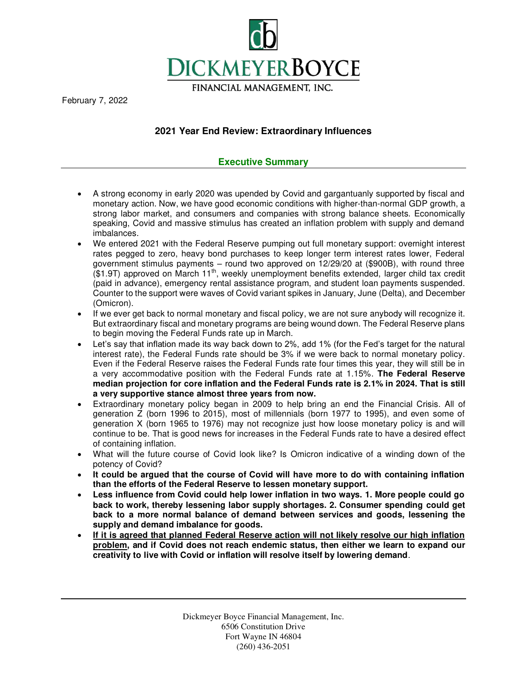

February 7, 2022

# **2021 Year End Review: Extraordinary Influences**

# **Executive Summary**

- A strong economy in early 2020 was upended by Covid and gargantuanly supported by fiscal and monetary action. Now, we have good economic conditions with higher-than-normal GDP growth, a strong labor market, and consumers and companies with strong balance sheets. Economically speaking, Covid and massive stimulus has created an inflation problem with supply and demand imbalances.
- We entered 2021 with the Federal Reserve pumping out full monetary support: overnight interest rates pegged to zero, heavy bond purchases to keep longer term interest rates lower, Federal government stimulus payments – round two approved on 12/29/20 at (\$900B), with round three  $($1.9T)$  approved on March  $11<sup>th</sup>$ , weekly unemployment benefits extended, larger child tax credit (paid in advance), emergency rental assistance program, and student loan payments suspended. Counter to the support were waves of Covid variant spikes in January, June (Delta), and December (Omicron).
- If we ever get back to normal monetary and fiscal policy, we are not sure anybody will recognize it. But extraordinary fiscal and monetary programs are being wound down. The Federal Reserve plans to begin moving the Federal Funds rate up in March.
- Let's say that inflation made its way back down to 2%, add 1% (for the Fed's target for the natural interest rate), the Federal Funds rate should be 3% if we were back to normal monetary policy. Even if the Federal Reserve raises the Federal Funds rate four times this year, they will still be in a very accommodative position with the Federal Funds rate at 1.15%. **The Federal Reserve median projection for core inflation and the Federal Funds rate is 2.1% in 2024. That is still a very supportive stance almost three years from now.**
- Extraordinary monetary policy began in 2009 to help bring an end the Financial Crisis. All of generation Z (born 1996 to 2015), most of millennials (born 1977 to 1995), and even some of generation X (born 1965 to 1976) may not recognize just how loose monetary policy is and will continue to be. That is good news for increases in the Federal Funds rate to have a desired effect of containing inflation.
- What will the future course of Covid look like? Is Omicron indicative of a winding down of the potency of Covid?
- **It could be argued that the course of Covid will have more to do with containing inflation than the efforts of the Federal Reserve to lessen monetary support.**
- **Less influence from Covid could help lower inflation in two ways. 1. More people could go back to work, thereby lessening labor supply shortages. 2. Consumer spending could get back to a more normal balance of demand between services and goods, lessening the supply and demand imbalance for goods.**
- If it is agreed that planned Federal Reserve action will not likely resolve our high inflation **problem, and if Covid does not reach endemic status, then either we learn to expand our creativity to live with Covid or inflation will resolve itself by lowering demand**.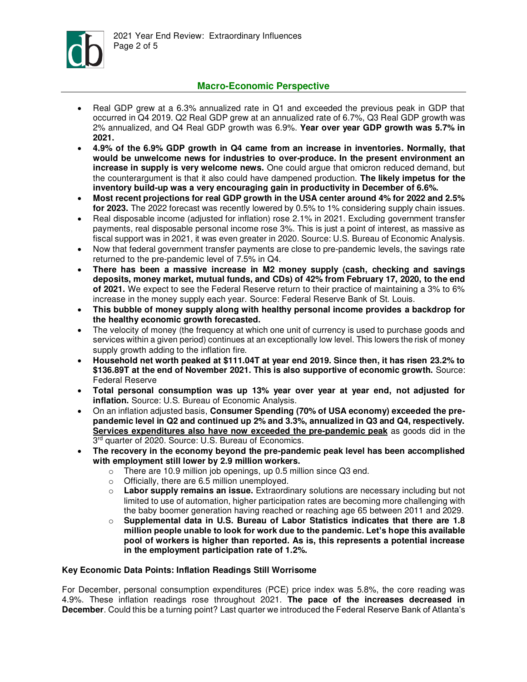

## **Macro-Economic Perspective**

- Real GDP grew at a 6.3% annualized rate in Q1 and exceeded the previous peak in GDP that occurred in Q4 2019. Q2 Real GDP grew at an annualized rate of 6.7%, Q3 Real GDP growth was 2% annualized, and Q4 Real GDP growth was 6.9%. **Year over year GDP growth was 5.7% in 2021.**
- **4.9% of the 6.9% GDP growth in Q4 came from an increase in inventories. Normally, that would be unwelcome news for industries to over-produce. In the present environment an increase in supply is very welcome news.** One could argue that omicron reduced demand, but the counterargument is that it also could have dampened production. **The likely impetus for the inventory build-up was a very encouraging gain in productivity in December of 6.6%.**
- **Most recent projections for real GDP growth in the USA center around 4% for 2022 and 2.5% for 2023.** The 2022 forecast was recently lowered by 0.5% to 1% considering supply chain issues.
- Real disposable income (adjusted for inflation) rose 2.1% in 2021. Excluding government transfer payments, real disposable personal income rose 3%. This is just a point of interest, as massive as fiscal support was in 2021, it was even greater in 2020. Source: U.S. Bureau of Economic Analysis.
- Now that federal government transfer payments are close to pre-pandemic levels, the savings rate returned to the pre-pandemic level of 7.5% in Q4.
- **There has been a massive increase in M2 money supply (cash, checking and savings deposits, money market, mutual funds, and CDs) of 42% from February 17, 2020, to the end of 2021.** We expect to see the Federal Reserve return to their practice of maintaining a 3% to 6% increase in the money supply each year. Source: Federal Reserve Bank of St. Louis.
- **This bubble of money supply along with healthy personal income provides a backdrop for the healthy economic growth forecasted.**
- The velocity of money (the frequency at which one unit of currency is used to purchase goods and services within a given period) continues at an exceptionally low level. This lowers the risk of money supply growth adding to the inflation fire.
- **Household net worth peaked at \$111.04T at year end 2019. Since then, it has risen 23.2% to \$136.89T at the end of November 2021. This is also supportive of economic growth.** Source: Federal Reserve
- **Total personal consumption was up 13% year over year at year end, not adjusted for inflation.** Source: U.S. Bureau of Economic Analysis.
- On an inflation adjusted basis, **Consumer Spending (70% of USA economy) exceeded the prepandemic level in Q2 and continued up 2% and 3.3%, annualized in Q3 and Q4, respectively. Services expenditures also have now exceeded the pre-pandemic peak** as goods did in the 3<sup>rd</sup> quarter of 2020. Source: U.S. Bureau of Economics.
- **The recovery in the economy beyond the pre-pandemic peak level has been accomplished with employment still lower by 2.9 million workers.** 
	- o There are 10.9 million job openings, up 0.5 million since Q3 end.
	- o Officially, there are 6.5 million unemployed.
	- o **Labor supply remains an issue.** Extraordinary solutions are necessary including but not limited to use of automation, higher participation rates are becoming more challenging with the baby boomer generation having reached or reaching age 65 between 2011 and 2029.
	- o **Supplemental data in U.S. Bureau of Labor Statistics indicates that there are 1.8 million people unable to look for work due to the pandemic. Let's hope this available pool of workers is higher than reported. As is, this represents a potential increase in the employment participation rate of 1.2%.**

## **Key Economic Data Points: Inflation Readings Still Worrisome**

For December, personal consumption expenditures (PCE) price index was 5.8%, the core reading was 4.9%. These inflation readings rose throughout 2021. **The pace of the increases decreased in December**. Could this be a turning point? Last quarter we introduced the Federal Reserve Bank of Atlanta's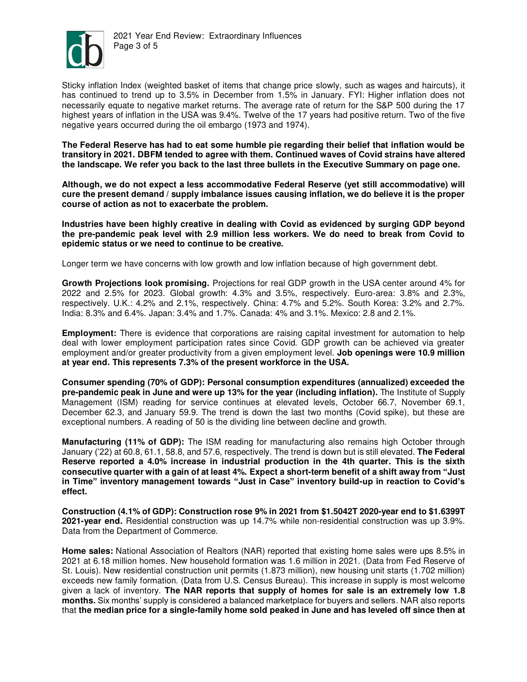

Sticky inflation Index (weighted basket of items that change price slowly, such as wages and haircuts), it has continued to trend up to 3.5% in December from 1.5% in January. FYI: Higher inflation does not necessarily equate to negative market returns. The average rate of return for the S&P 500 during the 17 highest years of inflation in the USA was 9.4%. Twelve of the 17 years had positive return. Two of the five negative years occurred during the oil embargo (1973 and 1974).

**The Federal Reserve has had to eat some humble pie regarding their belief that inflation would be transitory in 2021. DBFM tended to agree with them. Continued waves of Covid strains have altered the landscape. We refer you back to the last three bullets in the Executive Summary on page one.** 

**Although, we do not expect a less accommodative Federal Reserve (yet still accommodative) will cure the present demand / supply imbalance issues causing inflation, we do believe it is the proper course of action as not to exacerbate the problem.** 

**Industries have been highly creative in dealing with Covid as evidenced by surging GDP beyond the pre-pandemic peak level with 2.9 million less workers. We do need to break from Covid to epidemic status or we need to continue to be creative.** 

Longer term we have concerns with low growth and low inflation because of high government debt.

**Growth Projections look promising.** Projections for real GDP growth in the USA center around 4% for 2022 and 2.5% for 2023. Global growth: 4.3% and 3.5%, respectively. Euro-area: 3.8% and 2.3%, respectively. U.K.: 4.2% and 2.1%, respectively. China: 4.7% and 5.2%. South Korea: 3.2% and 2.7%. India: 8.3% and 6.4%. Japan: 3.4% and 1.7%. Canada: 4% and 3.1%. Mexico: 2.8 and 2.1%.

**Employment:** There is evidence that corporations are raising capital investment for automation to help deal with lower employment participation rates since Covid. GDP growth can be achieved via greater employment and/or greater productivity from a given employment level. **Job openings were 10.9 million at year end. This represents 7.3% of the present workforce in the USA.**

**Consumer spending (70% of GDP): Personal consumption expenditures (annualized) exceeded the pre-pandemic peak in June and were up 13% for the year (including inflation).** The Institute of Supply Management (ISM) reading for service continues at elevated levels, October 66.7, November 69.1, December 62.3, and January 59.9. The trend is down the last two months (Covid spike), but these are exceptional numbers. A reading of 50 is the dividing line between decline and growth.

**Manufacturing (11% of GDP):** The ISM reading for manufacturing also remains high October through January ('22) at 60.8, 61.1, 58.8, and 57.6, respectively. The trend is down but is still elevated. **The Federal Reserve reported a 4.0% increase in industrial production in the 4th quarter. This is the sixth consecutive quarter with a gain of at least 4%. Expect a short-term benefit of a shift away from "Just in Time" inventory management towards "Just in Case" inventory build-up in reaction to Covid's effect.**

**Construction (4.1% of GDP): Construction rose 9% in 2021 from \$1.5042T 2020-year end to \$1.6399T 2021-year end.** Residential construction was up 14.7% while non-residential construction was up 3.9%. Data from the Department of Commerce.

**Home sales:** National Association of Realtors (NAR) reported that existing home sales were ups 8.5% in 2021 at 6.18 million homes. New household formation was 1.6 million in 2021. (Data from Fed Reserve of St. Louis). New residential construction unit permits (1.873 million), new housing unit starts (1.702 million) exceeds new family formation. (Data from U.S. Census Bureau). This increase in supply is most welcome given a lack of inventory. **The NAR reports that supply of homes for sale is an extremely low 1.8 months.** Six months' supply is considered a balanced marketplace for buyers and sellers. NAR also reports that **the median price for a single-family home sold peaked in June and has leveled off since then at**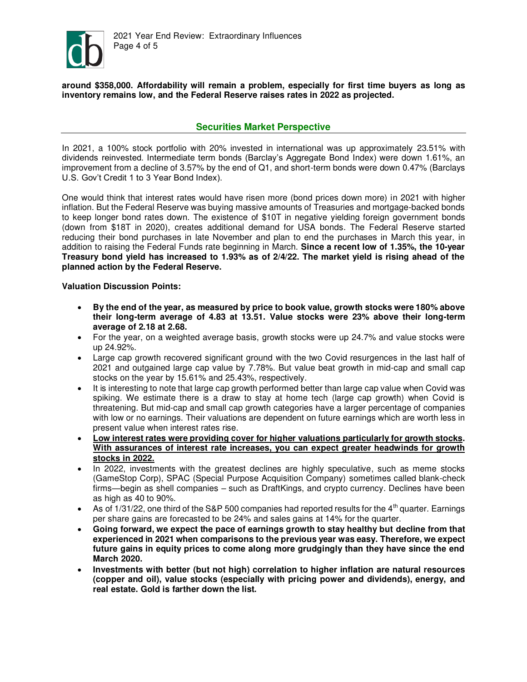

**around \$358,000. Affordability will remain a problem, especially for first time buyers as long as inventory remains low, and the Federal Reserve raises rates in 2022 as projected.** 

# **Securities Market Perspective**

In 2021, a 100% stock portfolio with 20% invested in international was up approximately 23.51% with dividends reinvested. Intermediate term bonds (Barclay's Aggregate Bond Index) were down 1.61%, an improvement from a decline of 3.57% by the end of Q1, and short-term bonds were down 0.47% (Barclays U.S. Gov't Credit 1 to 3 Year Bond Index).

One would think that interest rates would have risen more (bond prices down more) in 2021 with higher inflation. But the Federal Reserve was buying massive amounts of Treasuries and mortgage-backed bonds to keep longer bond rates down. The existence of \$10T in negative yielding foreign government bonds (down from \$18T in 2020), creates additional demand for USA bonds. The Federal Reserve started reducing their bond purchases in late November and plan to end the purchases in March this year, in addition to raising the Federal Funds rate beginning in March. **Since a recent low of 1.35%, the 10-year Treasury bond yield has increased to 1.93% as of 2/4/22. The market yield is rising ahead of the planned action by the Federal Reserve.** 

#### **Valuation Discussion Points:**

- **By the end of the year, as measured by price to book value, growth stocks were 180% above their long-term average of 4.83 at 13.51. Value stocks were 23% above their long-term average of 2.18 at 2.68.**
- For the year, on a weighted average basis, growth stocks were up 24.7% and value stocks were up 24.92%.
- Large cap growth recovered significant ground with the two Covid resurgences in the last half of 2021 and outgained large cap value by 7.78%. But value beat growth in mid-cap and small cap stocks on the year by 15.61% and 25.43%, respectively.
- It is interesting to note that large cap growth performed better than large cap value when Covid was spiking. We estimate there is a draw to stay at home tech (large cap growth) when Covid is threatening. But mid-cap and small cap growth categories have a larger percentage of companies with low or no earnings. Their valuations are dependent on future earnings which are worth less in present value when interest rates rise.
- **Low interest rates were providing cover for higher valuations particularly for growth stocks. With assurances of interest rate increases, you can expect greater headwinds for growth stocks in 2022.**
- In 2022, investments with the greatest declines are highly speculative, such as meme stocks (GameStop Corp), SPAC (Special Purpose Acquisition Company) sometimes called blank-check firms—[begin as shell companies](https://www.wsj.com/articles/spacs-are-the-stock-markets-hottest-trend-heres-how-they-work-11617010202?mod=article_inline) – such as DraftKings, and crypto currency. Declines have been as high as 40 to 90%.
- As of 1/31/22, one third of the S&P 500 companies had reported results for the  $4<sup>th</sup>$  quarter. Earnings per share gains are forecasted to be 24% and sales gains at 14% for the quarter.
- **Going forward, we expect the pace of earnings growth to stay healthy but decline from that experienced in 2021 when comparisons to the previous year was easy. Therefore, we expect future gains in equity prices to come along more grudgingly than they have since the end March 2020.**
- **Investments with better (but not high) correlation to higher inflation are natural resources (copper and oil), value stocks (especially with pricing power and dividends), energy, and real estate. Gold is farther down the list.**